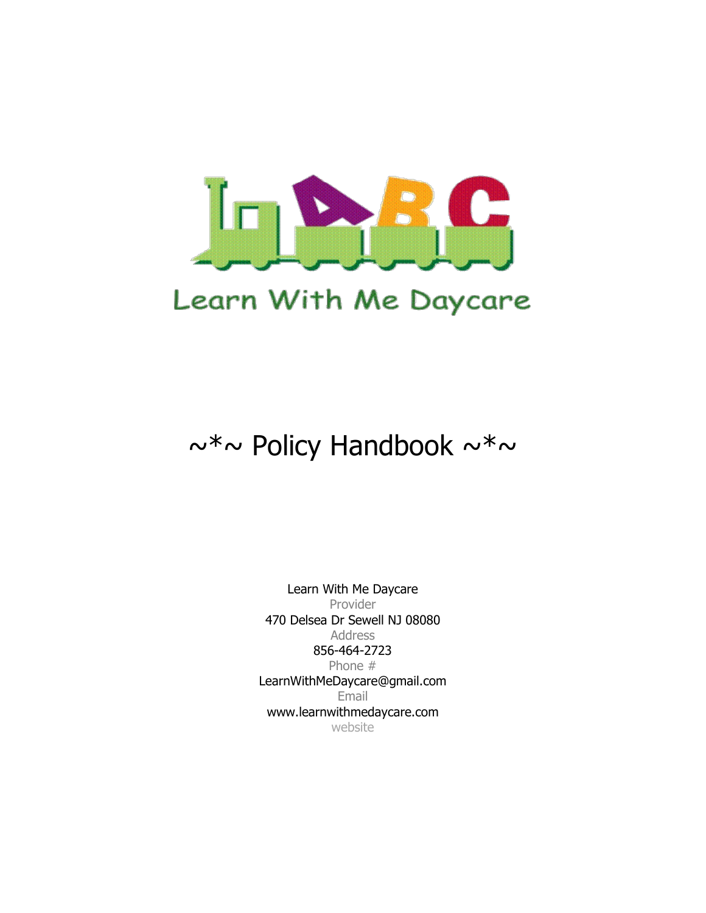

# $\sim^* \sim$  Policy Handbook  $\sim^* \sim$

Learn With Me Daycare Provider 470 Delsea Dr Sewell NJ 08080 Address 856-464-2723 Phone # LearnWithMeDaycare@gmail.com Email www.learnwithmedaycare.com website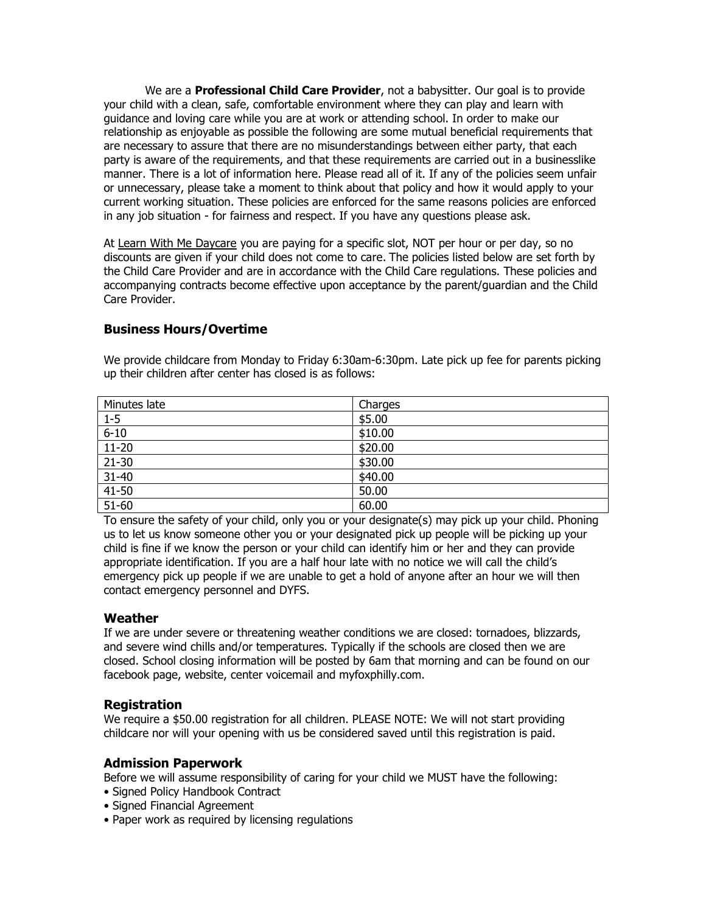We are a **Professional Child Care Provider**, not a babysitter. Our goal is to provide your child with a clean, safe, comfortable environment where they can play and learn with guidance and loving care while you are at work or attending school. In order to make our relationship as enjoyable as possible the following are some mutual beneficial requirements that are necessary to assure that there are no misunderstandings between either party, that each party is aware of the requirements, and that these requirements are carried out in a businesslike manner. There is a lot of information here. Please read all of it. If any of the policies seem unfair or unnecessary, please take a moment to think about that policy and how it would apply to your current working situation. These policies are enforced for the same reasons policies are enforced in any job situation - for fairness and respect. If you have any questions please ask.

At Learn With Me Daycare you are paying for a specific slot, NOT per hour or per day, so no discounts are given if your child does not come to care. The policies listed below are set forth by the Child Care Provider and are in accordance with the Child Care regulations. These policies and accompanying contracts become effective upon acceptance by the parent/guardian and the Child Care Provider.

## **Business Hours/Overtime**

We provide childcare from Monday to Friday 6:30am-6:30pm. Late pick up fee for parents picking up their children after center has closed is as follows:

| Minutes late | Charges |
|--------------|---------|
| $1 - 5$      | \$5.00  |
| $6 - 10$     | \$10.00 |
| $11-20$      | \$20.00 |
| $21 - 30$    | \$30.00 |
| $31 - 40$    | \$40.00 |
| $41 - 50$    | 50.00   |
| $51 - 60$    | 60.00   |

To ensure the safety of your child, only you or your designate(s) may pick up your child. Phoning us to let us know someone other you or your designated pick up people will be picking up your child is fine if we know the person or your child can identify him or her and they can provide appropriate identification. If you are a half hour late with no notice we will call the child's emergency pick up people if we are unable to get a hold of anyone after an hour we will then contact emergency personnel and DYFS.

## **Weather**

If we are under severe or threatening weather conditions we are closed: tornadoes, blizzards, and severe wind chills and/or temperatures. Typically if the schools are closed then we are closed. School closing information will be posted by 6am that morning and can be found on our facebook page, website, center voicemail and myfoxphilly.com.

## **Registration**

We require a \$50.00 registration for all children. PLEASE NOTE: We will not start providing childcare nor will your opening with us be considered saved until this registration is paid.

## **Admission Paperwork**

Before we will assume responsibility of caring for your child we MUST have the following: • Signed Policy Handbook Contract

- Signed Financial Agreement
- Paper work as required by licensing regulations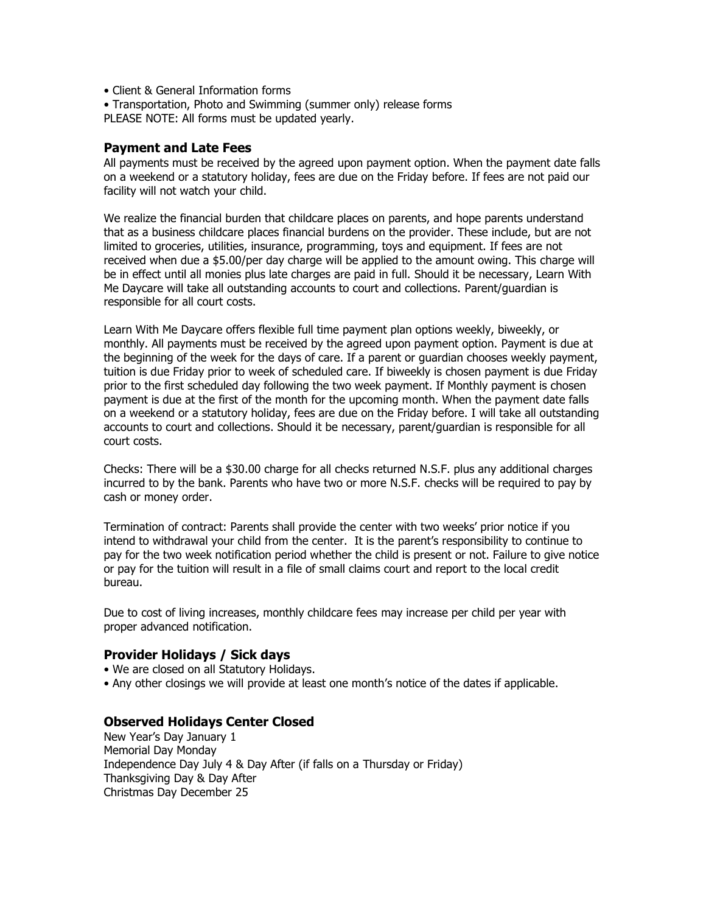- Client & General Information forms
- Transportation, Photo and Swimming (summer only) release forms PLEASE NOTE: All forms must be updated yearly.

#### **Payment and Late Fees**

All payments must be received by the agreed upon payment option. When the payment date falls on a weekend or a statutory holiday, fees are due on the Friday before. If fees are not paid our facility will not watch your child.

We realize the financial burden that childcare places on parents, and hope parents understand that as a business childcare places financial burdens on the provider. These include, but are not limited to groceries, utilities, insurance, programming, toys and equipment. If fees are not received when due a \$5.00/per day charge will be applied to the amount owing. This charge will be in effect until all monies plus late charges are paid in full. Should it be necessary, Learn With Me Daycare will take all outstanding accounts to court and collections. Parent/guardian is responsible for all court costs.

Learn With Me Daycare offers flexible full time payment plan options weekly, biweekly, or monthly. All payments must be received by the agreed upon payment option. Payment is due at the beginning of the week for the days of care. If a parent or guardian chooses weekly payment, tuition is due Friday prior to week of scheduled care. If biweekly is chosen payment is due Friday prior to the first scheduled day following the two week payment. If Monthly payment is chosen payment is due at the first of the month for the upcoming month. When the payment date falls on a weekend or a statutory holiday, fees are due on the Friday before. I will take all outstanding accounts to court and collections. Should it be necessary, parent/guardian is responsible for all court costs.

Checks: There will be a \$30.00 charge for all checks returned N.S.F. plus any additional charges incurred to by the bank. Parents who have two or more N.S.F. checks will be required to pay by cash or money order.

Termination of contract: Parents shall provide the center with two weeks' prior notice if you intend to withdrawal your child from the center. It is the parent's responsibility to continue to pay for the two week notification period whether the child is present or not. Failure to give notice or pay for the tuition will result in a file of small claims court and report to the local credit bureau.

Due to cost of living increases, monthly childcare fees may increase per child per year with proper advanced notification.

## **Provider Holidays / Sick days**

- We are closed on all Statutory Holidays.
- Any other closings we will provide at least one month's notice of the dates if applicable.

#### **Observed Holidays Center Closed**

New Year's Day January 1 Memorial Day Monday Independence Day July 4 & Day After (if falls on a Thursday or Friday) Thanksgiving Day & Day After Christmas Day December 25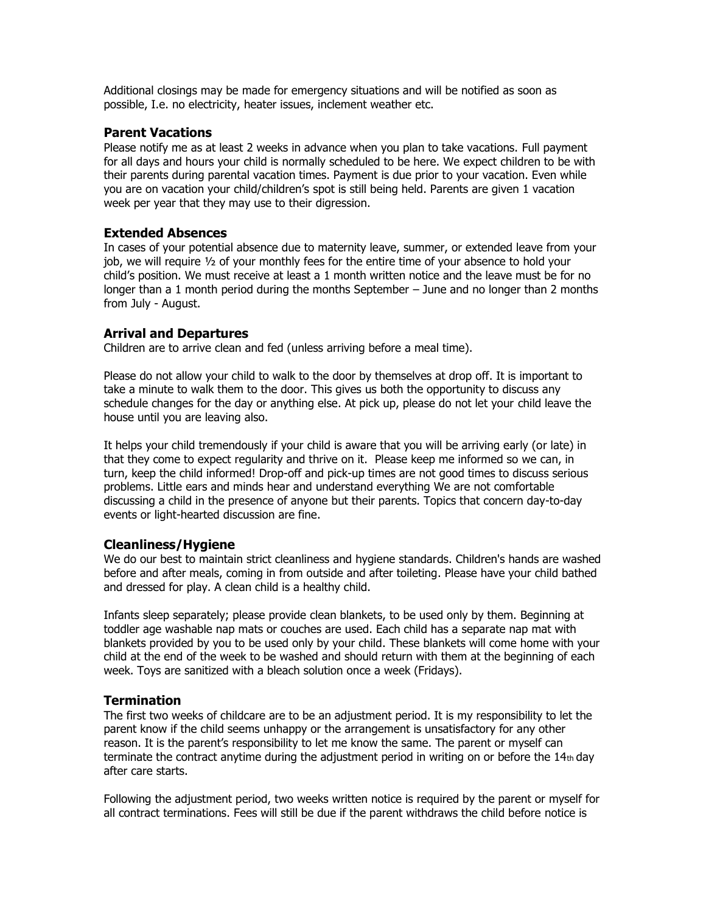Additional closings may be made for emergency situations and will be notified as soon as possible, I.e. no electricity, heater issues, inclement weather etc.

#### **Parent Vacations**

Please notify me as at least 2 weeks in advance when you plan to take vacations. Full payment for all days and hours your child is normally scheduled to be here. We expect children to be with their parents during parental vacation times. Payment is due prior to your vacation. Even while you are on vacation your child/children's spot is still being held. Parents are given 1 vacation week per year that they may use to their digression.

#### **Extended Absences**

In cases of your potential absence due to maternity leave, summer, or extended leave from your job, we will require ½ of your monthly fees for the entire time of your absence to hold your child's position. We must receive at least a 1 month written notice and the leave must be for no longer than a 1 month period during the months September – June and no longer than 2 months from July - August.

#### **Arrival and Departures**

Children are to arrive clean and fed (unless arriving before a meal time).

Please do not allow your child to walk to the door by themselves at drop off. It is important to take a minute to walk them to the door. This gives us both the opportunity to discuss any schedule changes for the day or anything else. At pick up, please do not let your child leave the house until you are leaving also.

It helps your child tremendously if your child is aware that you will be arriving early (or late) in that they come to expect regularity and thrive on it. Please keep me informed so we can, in turn, keep the child informed! Drop-off and pick-up times are not good times to discuss serious problems. Little ears and minds hear and understand everything We are not comfortable discussing a child in the presence of anyone but their parents. Topics that concern day-to-day events or light-hearted discussion are fine.

## **Cleanliness/Hygiene**

We do our best to maintain strict cleanliness and hygiene standards. Children's hands are washed before and after meals, coming in from outside and after toileting. Please have your child bathed and dressed for play. A clean child is a healthy child.

Infants sleep separately; please provide clean blankets, to be used only by them. Beginning at toddler age washable nap mats or couches are used. Each child has a separate nap mat with blankets provided by you to be used only by your child. These blankets will come home with your child at the end of the week to be washed and should return with them at the beginning of each week. Toys are sanitized with a bleach solution once a week (Fridays).

## **Termination**

The first two weeks of childcare are to be an adjustment period. It is my responsibility to let the parent know if the child seems unhappy or the arrangement is unsatisfactory for any other reason. It is the parent's responsibility to let me know the same. The parent or myself can terminate the contract anytime during the adjustment period in writing on or before the  $14<sub>th</sub>$  day after care starts.

Following the adjustment period, two weeks written notice is required by the parent or myself for all contract terminations. Fees will still be due if the parent withdraws the child before notice is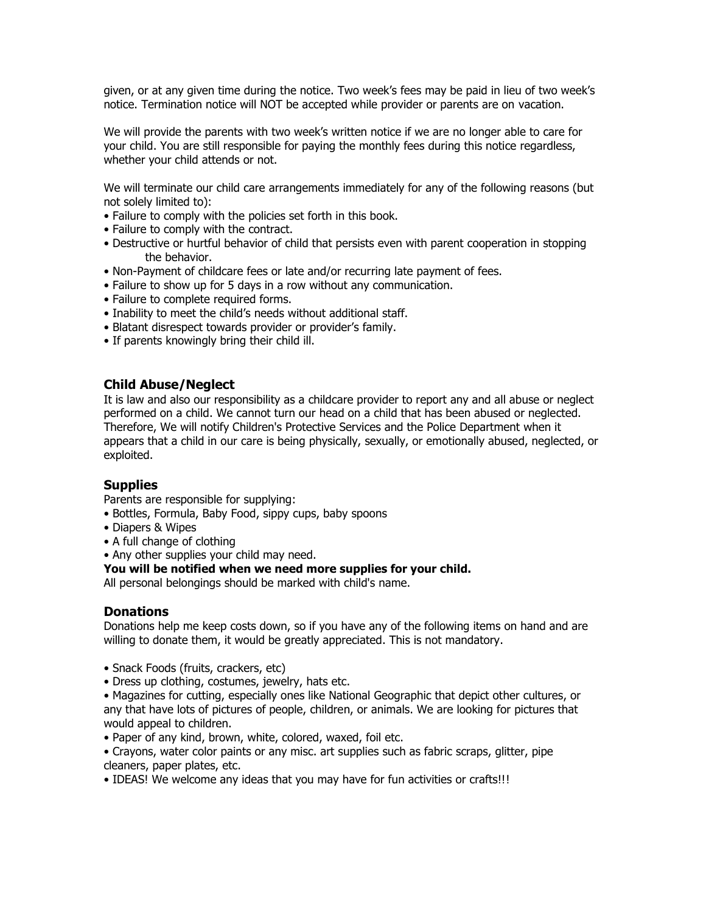given, or at any given time during the notice. Two week's fees may be paid in lieu of two week's notice. Termination notice will NOT be accepted while provider or parents are on vacation.

We will provide the parents with two week's written notice if we are no longer able to care for your child. You are still responsible for paying the monthly fees during this notice regardless, whether your child attends or not.

We will terminate our child care arrangements immediately for any of the following reasons (but not solely limited to):

- Failure to comply with the policies set forth in this book.
- Failure to comply with the contract.
- Destructive or hurtful behavior of child that persists even with parent cooperation in stopping the behavior.
- Non-Payment of childcare fees or late and/or recurring late payment of fees.
- Failure to show up for 5 days in a row without any communication.
- Failure to complete required forms.
- Inability to meet the child's needs without additional staff.
- Blatant disrespect towards provider or provider's family.
- If parents knowingly bring their child ill.

## **Child Abuse/Neglect**

It is law and also our responsibility as a childcare provider to report any and all abuse or neglect performed on a child. We cannot turn our head on a child that has been abused or neglected. Therefore, We will notify Children's Protective Services and the Police Department when it appears that a child in our care is being physically, sexually, or emotionally abused, neglected, or exploited.

## **Supplies**

Parents are responsible for supplying:

- Bottles, Formula, Baby Food, sippy cups, baby spoons
- Diapers & Wipes
- A full change of clothing
- Any other supplies your child may need.

#### **You will be notified when we need more supplies for your child.**

All personal belongings should be marked with child's name.

## **Donations**

Donations help me keep costs down, so if you have any of the following items on hand and are willing to donate them, it would be greatly appreciated. This is not mandatory.

- Snack Foods (fruits, crackers, etc)
- Dress up clothing, costumes, jewelry, hats etc.
- Magazines for cutting, especially ones like National Geographic that depict other cultures, or any that have lots of pictures of people, children, or animals. We are looking for pictures that would appeal to children.
- Paper of any kind, brown, white, colored, waxed, foil etc.
- Crayons, water color paints or any misc. art supplies such as fabric scraps, glitter, pipe cleaners, paper plates, etc.
- IDEAS! We welcome any ideas that you may have for fun activities or crafts!!!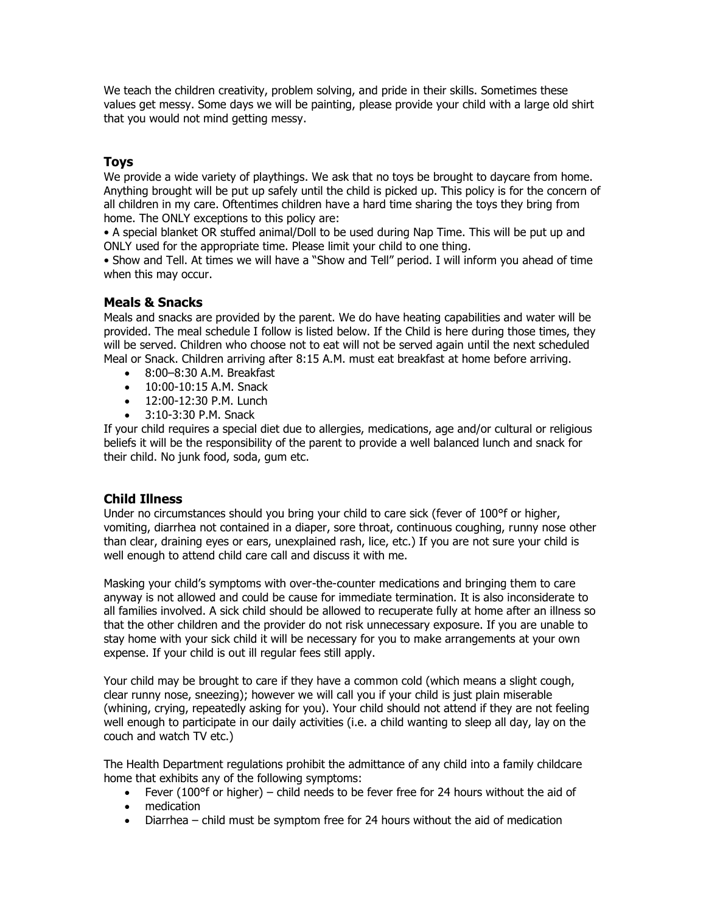We teach the children creativity, problem solving, and pride in their skills. Sometimes these values get messy. Some days we will be painting, please provide your child with a large old shirt that you would not mind getting messy.

## **Toys**

We provide a wide variety of playthings. We ask that no toys be brought to daycare from home. Anything brought will be put up safely until the child is picked up. This policy is for the concern of all children in my care. Oftentimes children have a hard time sharing the toys they bring from home. The ONLY exceptions to this policy are:

• A special blanket OR stuffed animal/Doll to be used during Nap Time. This will be put up and ONLY used for the appropriate time. Please limit your child to one thing.

• Show and Tell. At times we will have a "Show and Tell" period. I will inform you ahead of time when this may occur.

## **Meals & Snacks**

Meals and snacks are provided by the parent. We do have heating capabilities and water will be provided. The meal schedule I follow is listed below. If the Child is here during those times, they will be served. Children who choose not to eat will not be served again until the next scheduled Meal or Snack. Children arriving after 8:15 A.M. must eat breakfast at home before arriving.

- 8:00–8:30 A.M. Breakfast
- 10:00-10:15 A.M. Snack
- 12:00-12:30 P.M. Lunch
- 3:10-3:30 P.M. Snack

If your child requires a special diet due to allergies, medications, age and/or cultural or religious beliefs it will be the responsibility of the parent to provide a well balanced lunch and snack for their child. No junk food, soda, gum etc.

## **Child Illness**

Under no circumstances should you bring your child to care sick (fever of 100°f or higher, vomiting, diarrhea not contained in a diaper, sore throat, continuous coughing, runny nose other than clear, draining eyes or ears, unexplained rash, lice, etc.) If you are not sure your child is well enough to attend child care call and discuss it with me.

Masking your child's symptoms with over-the-counter medications and bringing them to care anyway is not allowed and could be cause for immediate termination. It is also inconsiderate to all families involved. A sick child should be allowed to recuperate fully at home after an illness so that the other children and the provider do not risk unnecessary exposure. If you are unable to stay home with your sick child it will be necessary for you to make arrangements at your own expense. If your child is out ill regular fees still apply.

Your child may be brought to care if they have a common cold (which means a slight cough, clear runny nose, sneezing); however we will call you if your child is just plain miserable (whining, crying, repeatedly asking for you). Your child should not attend if they are not feeling well enough to participate in our daily activities (i.e. a child wanting to sleep all day, lay on the couch and watch TV etc.)

The Health Department regulations prohibit the admittance of any child into a family childcare home that exhibits any of the following symptoms:

- Fever (100°f or higher) child needs to be fever free for 24 hours without the aid of
- medication
- Diarrhea child must be symptom free for 24 hours without the aid of medication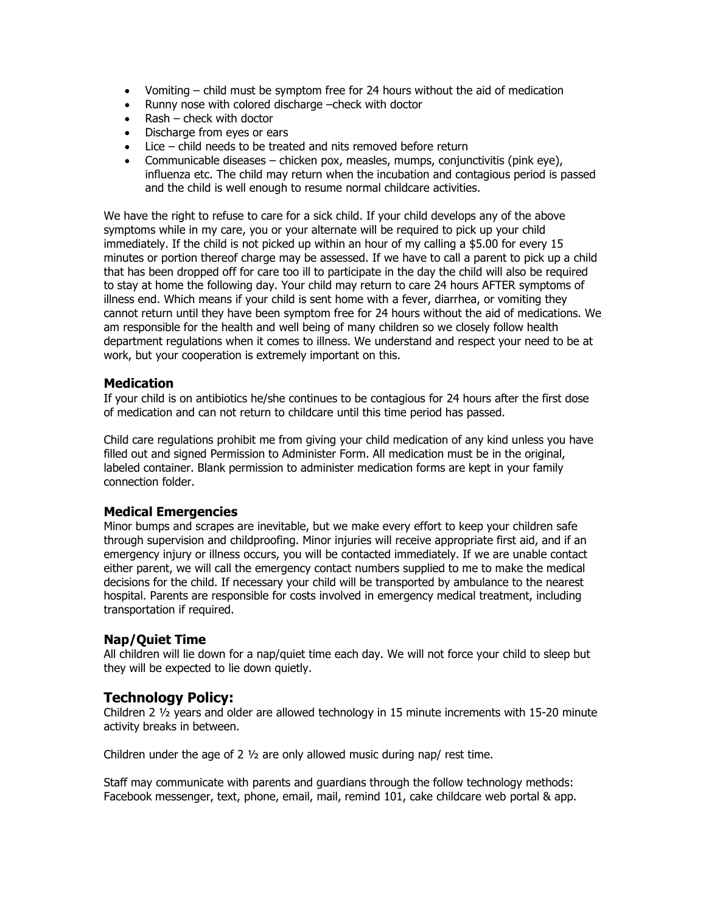- Vomiting child must be symptom free for 24 hours without the aid of medication
- Runny nose with colored discharge –check with doctor
- Rash check with doctor
- Discharge from eyes or ears
- Lice child needs to be treated and nits removed before return
- Communicable diseases chicken pox, measles, mumps, conjunctivitis (pink eye), influenza etc. The child may return when the incubation and contagious period is passed and the child is well enough to resume normal childcare activities.

We have the right to refuse to care for a sick child. If your child develops any of the above symptoms while in my care, you or your alternate will be required to pick up your child immediately. If the child is not picked up within an hour of my calling a \$5.00 for every 15 minutes or portion thereof charge may be assessed. If we have to call a parent to pick up a child that has been dropped off for care too ill to participate in the day the child will also be required to stay at home the following day. Your child may return to care 24 hours AFTER symptoms of illness end. Which means if your child is sent home with a fever, diarrhea, or vomiting they cannot return until they have been symptom free for 24 hours without the aid of medications. We am responsible for the health and well being of many children so we closely follow health department regulations when it comes to illness. We understand and respect your need to be at work, but your cooperation is extremely important on this.

#### **Medication**

If your child is on antibiotics he/she continues to be contagious for 24 hours after the first dose of medication and can not return to childcare until this time period has passed.

Child care regulations prohibit me from giving your child medication of any kind unless you have filled out and signed Permission to Administer Form. All medication must be in the original, labeled container. Blank permission to administer medication forms are kept in your family connection folder.

## **Medical Emergencies**

Minor bumps and scrapes are inevitable, but we make every effort to keep your children safe through supervision and childproofing. Minor injuries will receive appropriate first aid, and if an emergency injury or illness occurs, you will be contacted immediately. If we are unable contact either parent, we will call the emergency contact numbers supplied to me to make the medical decisions for the child. If necessary your child will be transported by ambulance to the nearest hospital. Parents are responsible for costs involved in emergency medical treatment, including transportation if required.

## **Nap/Quiet Time**

All children will lie down for a nap/quiet time each day. We will not force your child to sleep but they will be expected to lie down quietly.

## **Technology Policy:**

Children 2 ½ years and older are allowed technology in 15 minute increments with 15-20 minute activity breaks in between.

Children under the age of 2  $\frac{1}{2}$  are only allowed music during nap/ rest time.

Staff may communicate with parents and guardians through the follow technology methods: Facebook messenger, text, phone, email, mail, remind 101, cake childcare web portal & app.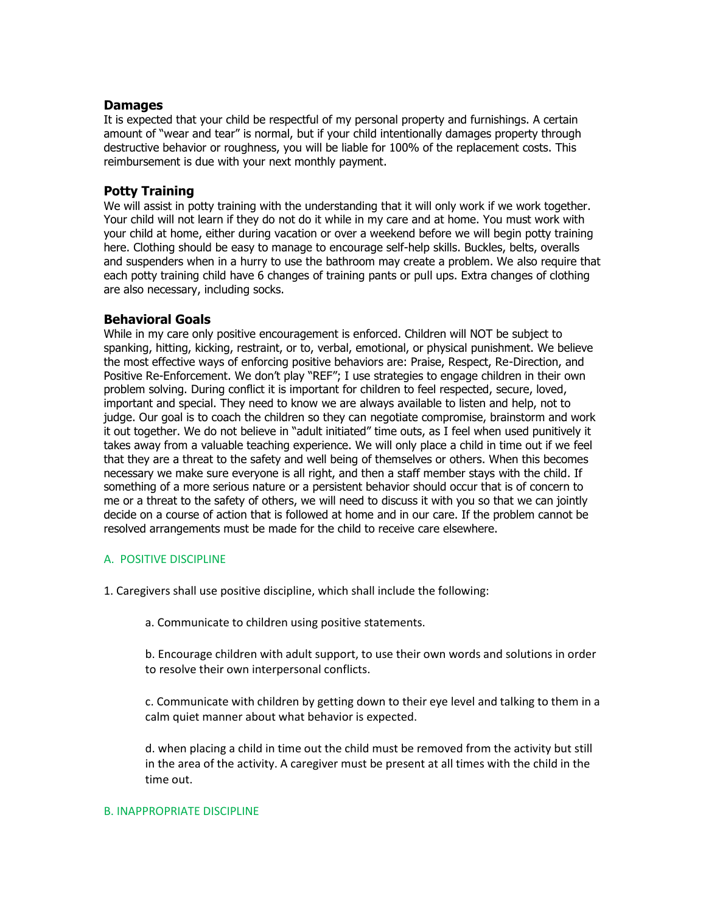## **Damages**

It is expected that your child be respectful of my personal property and furnishings. A certain amount of "wear and tear" is normal, but if your child intentionally damages property through destructive behavior or roughness, you will be liable for 100% of the replacement costs. This reimbursement is due with your next monthly payment.

#### **Potty Training**

We will assist in potty training with the understanding that it will only work if we work together. Your child will not learn if they do not do it while in my care and at home. You must work with your child at home, either during vacation or over a weekend before we will begin potty training here. Clothing should be easy to manage to encourage self-help skills. Buckles, belts, overalls and suspenders when in a hurry to use the bathroom may create a problem. We also require that each potty training child have 6 changes of training pants or pull ups. Extra changes of clothing are also necessary, including socks.

## **Behavioral Goals**

While in my care only positive encouragement is enforced. Children will NOT be subject to spanking, hitting, kicking, restraint, or to, verbal, emotional, or physical punishment. We believe the most effective ways of enforcing positive behaviors are: Praise, Respect, Re-Direction, and Positive Re-Enforcement. We don't play "REF"; I use strategies to engage children in their own problem solving. During conflict it is important for children to feel respected, secure, loved, important and special. They need to know we are always available to listen and help, not to judge. Our goal is to coach the children so they can negotiate compromise, brainstorm and work it out together. We do not believe in "adult initiated" time outs, as I feel when used punitively it takes away from a valuable teaching experience. We will only place a child in time out if we feel that they are a threat to the safety and well being of themselves or others. When this becomes necessary we make sure everyone is all right, and then a staff member stays with the child. If something of a more serious nature or a persistent behavior should occur that is of concern to me or a threat to the safety of others, we will need to discuss it with you so that we can jointly decide on a course of action that is followed at home and in our care. If the problem cannot be resolved arrangements must be made for the child to receive care elsewhere.

#### A. POSITIVE DISCIPLINE

- 1. Caregivers shall use positive discipline, which shall include the following:
	- a. Communicate to children using positive statements.
	- b. Encourage children with adult support, to use their own words and solutions in order to resolve their own interpersonal conflicts.
	- c. Communicate with children by getting down to their eye level and talking to them in a calm quiet manner about what behavior is expected.

d. when placing a child in time out the child must be removed from the activity but still in the area of the activity. A caregiver must be present at all times with the child in the time out.

#### B. INAPPROPRIATE DISCIPLINE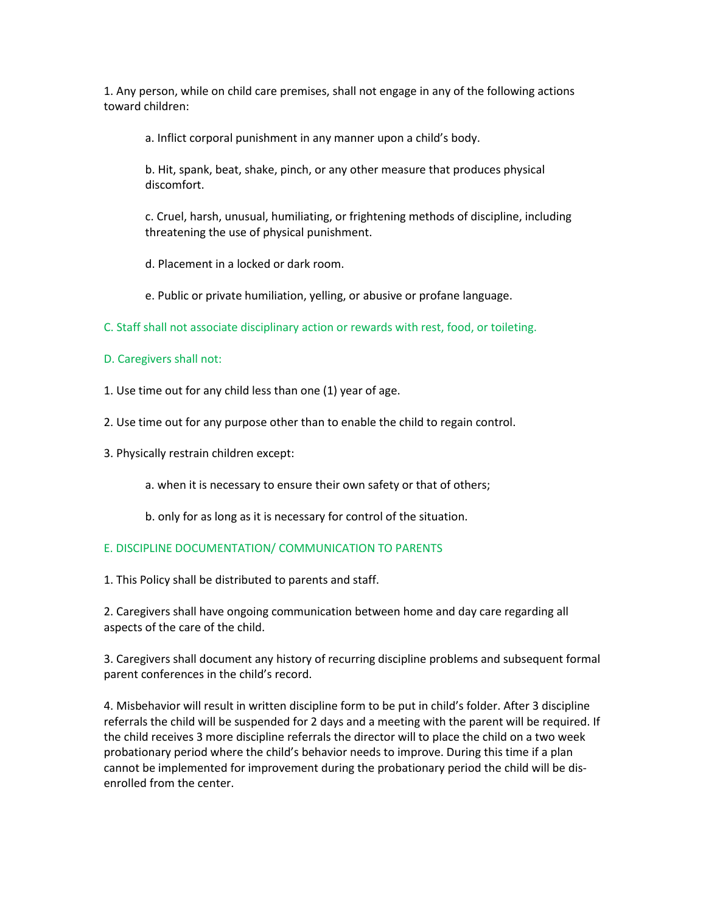1. Any person, while on child care premises, shall not engage in any of the following actions toward children:

a. Inflict corporal punishment in any manner upon a child's body.

b. Hit, spank, beat, shake, pinch, or any other measure that produces physical discomfort.

c. Cruel, harsh, unusual, humiliating, or frightening methods of discipline, including threatening the use of physical punishment.

d. Placement in a locked or dark room.

e. Public or private humiliation, yelling, or abusive or profane language.

C. Staff shall not associate disciplinary action or rewards with rest, food, or toileting.

D. Caregivers shall not:

1. Use time out for any child less than one (1) year of age.

- 2. Use time out for any purpose other than to enable the child to regain control.
- 3. Physically restrain children except:

a. when it is necessary to ensure their own safety or that of others;

b. only for as long as it is necessary for control of the situation.

## E. DISCIPLINE DOCUMENTATION/ COMMUNICATION TO PARENTS

1. This Policy shall be distributed to parents and staff.

2. Caregivers shall have ongoing communication between home and day care regarding all aspects of the care of the child.

3. Caregivers shall document any history of recurring discipline problems and subsequent formal parent conferences in the child's record.

4. Misbehavior will result in written discipline form to be put in child's folder. After 3 discipline referrals the child will be suspended for 2 days and a meeting with the parent will be required. If the child receives 3 more discipline referrals the director will to place the child on a two week probationary period where the child's behavior needs to improve. During this time if a plan cannot be implemented for improvement during the probationary period the child will be disenrolled from the center.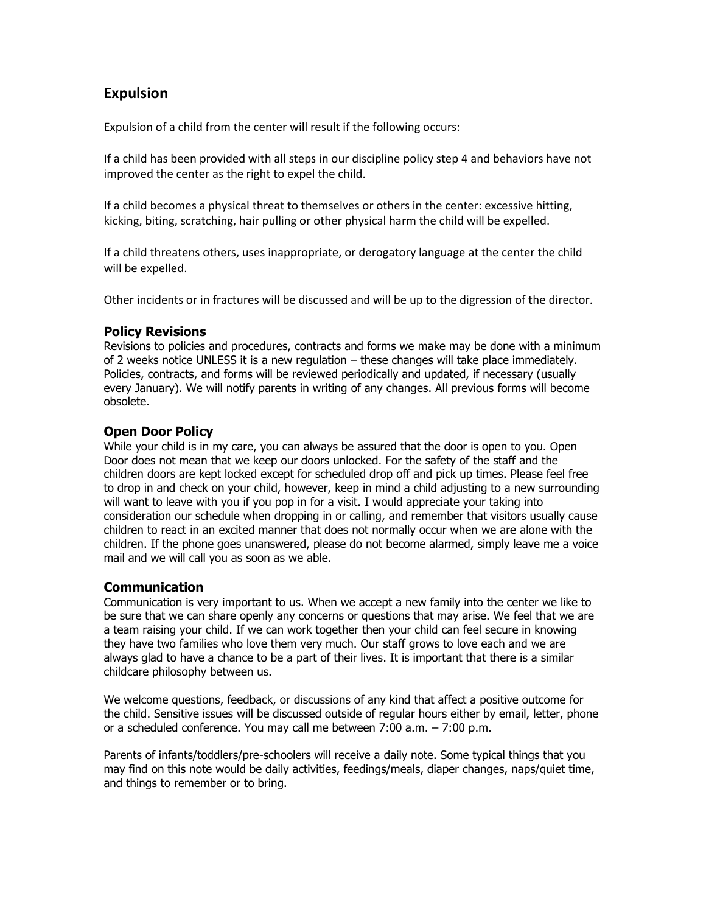# **Expulsion**

Expulsion of a child from the center will result if the following occurs:

If a child has been provided with all steps in our discipline policy step 4 and behaviors have not improved the center as the right to expel the child.

If a child becomes a physical threat to themselves or others in the center: excessive hitting, kicking, biting, scratching, hair pulling or other physical harm the child will be expelled.

If a child threatens others, uses inappropriate, or derogatory language at the center the child will be expelled.

Other incidents or in fractures will be discussed and will be up to the digression of the director.

## **Policy Revisions**

Revisions to policies and procedures, contracts and forms we make may be done with a minimum of 2 weeks notice UNLESS it is a new regulation – these changes will take place immediately. Policies, contracts, and forms will be reviewed periodically and updated, if necessary (usually every January). We will notify parents in writing of any changes. All previous forms will become obsolete.

## **Open Door Policy**

While your child is in my care, you can always be assured that the door is open to you. Open Door does not mean that we keep our doors unlocked. For the safety of the staff and the children doors are kept locked except for scheduled drop off and pick up times. Please feel free to drop in and check on your child, however, keep in mind a child adjusting to a new surrounding will want to leave with you if you pop in for a visit. I would appreciate your taking into consideration our schedule when dropping in or calling, and remember that visitors usually cause children to react in an excited manner that does not normally occur when we are alone with the children. If the phone goes unanswered, please do not become alarmed, simply leave me a voice mail and we will call you as soon as we able.

## **Communication**

Communication is very important to us. When we accept a new family into the center we like to be sure that we can share openly any concerns or questions that may arise. We feel that we are a team raising your child. If we can work together then your child can feel secure in knowing they have two families who love them very much. Our staff grows to love each and we are always glad to have a chance to be a part of their lives. It is important that there is a similar childcare philosophy between us.

We welcome questions, feedback, or discussions of any kind that affect a positive outcome for the child. Sensitive issues will be discussed outside of regular hours either by email, letter, phone or a scheduled conference. You may call me between 7:00 a.m. – 7:00 p.m.

Parents of infants/toddlers/pre-schoolers will receive a daily note. Some typical things that you may find on this note would be daily activities, feedings/meals, diaper changes, naps/quiet time, and things to remember or to bring.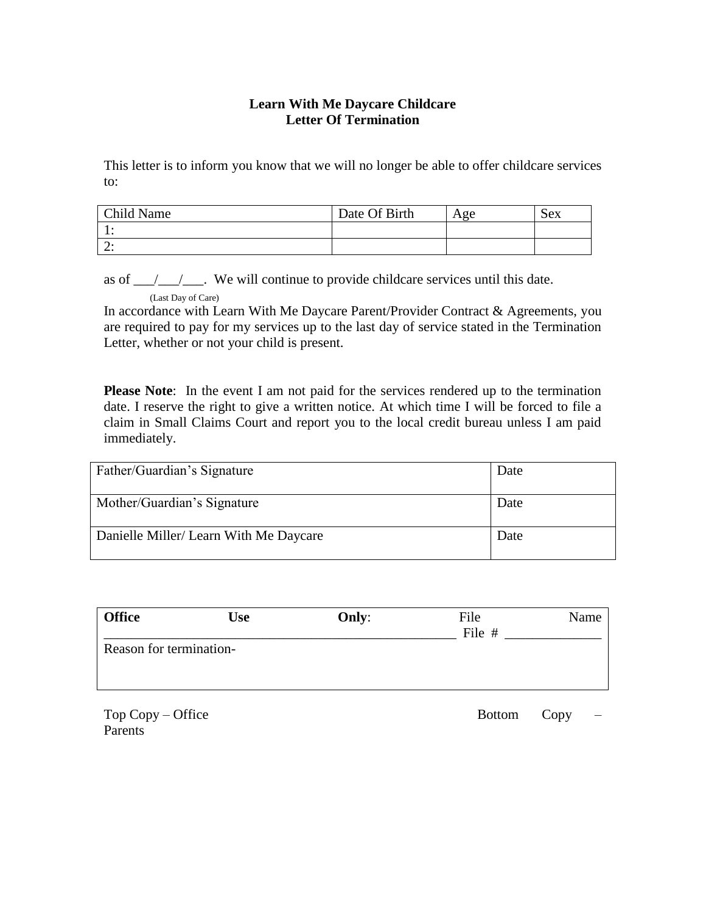## **Learn With Me Daycare Childcare Letter Of Termination**

This letter is to inform you know that we will no longer be able to offer childcare services to:

| <b>Child Name</b> | Date Of Birth | Age | Sex |
|-------------------|---------------|-----|-----|
| . .               |               |     |     |
| <u>.</u>          |               |     |     |

as of  $\frac{\gamma}{\gamma}$ . We will continue to provide childcare services until this date.

(Last Day of Care)

In accordance with Learn With Me Daycare Parent/Provider Contract & Agreements, you are required to pay for my services up to the last day of service stated in the Termination Letter, whether or not your child is present.

**Please Note**: In the event I am not paid for the services rendered up to the termination date. I reserve the right to give a written notice. At which time I will be forced to file a claim in Small Claims Court and report you to the local credit bureau unless I am paid immediately.

| Father/Guardian's Signature            | Date |
|----------------------------------------|------|
| Mother/Guardian's Signature            | Date |
| Danielle Miller/ Learn With Me Daycare | Date |

| <b>Office</b>           | <b>Use</b> | Only: | File<br>File # | Name |
|-------------------------|------------|-------|----------------|------|
| Reason for termination- |            |       |                |      |
|                         |            |       |                |      |

Parents<sup>1</sup>

Top Copy – Office Bottom Copy –